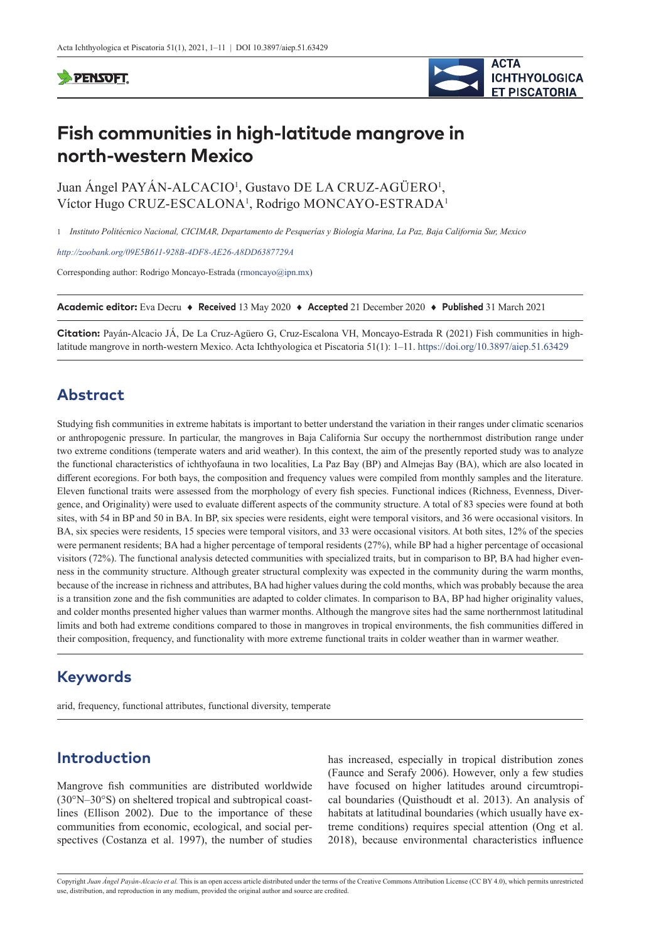### **PENSOFT**



# **Fish communities in high-latitude mangrove in north-western Mexico**

Juan Ángel PAYÁN-ALCACIO<sup>1</sup>, Gustavo DE LA CRUZ-AGÜERO<sup>1</sup>, Víctor Hugo CRUZ-ESCALONA<sup>1</sup>, Rodrigo MONCAYO-ESTRADA<sup>1</sup>

1 *Instituto Politécnico Nacional, CICIMAR, Departamento de Pesquerías y Biología Marina, La Paz, Baja California Sur, Mexico*

*<http://zoobank.org/09E5B611-928B-4DF8-AE26-A8DD6387729A>*

Corresponding author: Rodrigo Moncayo-Estrada ([rmoncayo@ipn.mx\)](mailto:rmoncayo@ipn.mx)

**Academic editor:** Eva Decru ♦ **Received** 13 May 2020 ♦ **Accepted** 21 December 2020 ♦ **Published** 31 March 2021

**Citation:** Payán-Alcacio JÁ, De La Cruz-Agüero G, Cruz-Escalona VH, Moncayo-Estrada R (2021) Fish communities in highlatitude mangrove in north-western Mexico. Acta Ichthyologica et Piscatoria 51(1): 1–11. <https://doi.org/10.3897/aiep.51.63429>

# **Abstract**

Studying fish communities in extreme habitats is important to better understand the variation in their ranges under climatic scenarios or anthropogenic pressure. In particular, the mangroves in Baja California Sur occupy the northernmost distribution range under two extreme conditions (temperate waters and arid weather). In this context, the aim of the presently reported study was to analyze the functional characteristics of ichthyofauna in two localities, La Paz Bay (BP) and Almejas Bay (BA), which are also located in different ecoregions. For both bays, the composition and frequency values were compiled from monthly samples and the literature. Eleven functional traits were assessed from the morphology of every fish species. Functional indices (Richness, Evenness, Divergence, and Originality) were used to evaluate different aspects of the community structure. A total of 83 species were found at both sites, with 54 in BP and 50 in BA. In BP, six species were residents, eight were temporal visitors, and 36 were occasional visitors. In BA, six species were residents, 15 species were temporal visitors, and 33 were occasional visitors. At both sites, 12% of the species were permanent residents; BA had a higher percentage of temporal residents (27%), while BP had a higher percentage of occasional visitors (72%). The functional analysis detected communities with specialized traits, but in comparison to BP, BA had higher evenness in the community structure. Although greater structural complexity was expected in the community during the warm months, because of the increase in richness and attributes, BA had higher values during the cold months, which was probably because the area is a transition zone and the fish communities are adapted to colder climates. In comparison to BA, BP had higher originality values, and colder months presented higher values than warmer months. Although the mangrove sites had the same northernmost latitudinal limits and both had extreme conditions compared to those in mangroves in tropical environments, the fish communities differed in their composition, frequency, and functionality with more extreme functional traits in colder weather than in warmer weather.

# **Keywords**

arid, frequency, functional attributes, functional diversity, temperate

# **Introduction**

Mangrove fish communities are distributed worldwide (30°N–30°S) on sheltered tropical and subtropical coastlines (Ellison 2002). Due to the importance of these communities from economic, ecological, and social perspectives (Costanza et al. 1997), the number of studies

has increased, especially in tropical distribution zones (Faunce and Serafy 2006). However, only a few studies have focused on higher latitudes around circumtropical boundaries (Quisthoudt et al. 2013). An analysis of habitats at latitudinal boundaries (which usually have extreme conditions) requires special attention (Ong et al. 2018), because environmental characteristics influence

Copyright *Juan Ángel Payán-Alcacio et al.* This is an open access article distributed under the terms of the [Creative Commons Attribution License \(CC BY 4.0\),](http://creativecommons.org/licenses/by/4.0/) which permits unrestricted use, distribution, and reproduction in any medium, provided the original author and source are credited.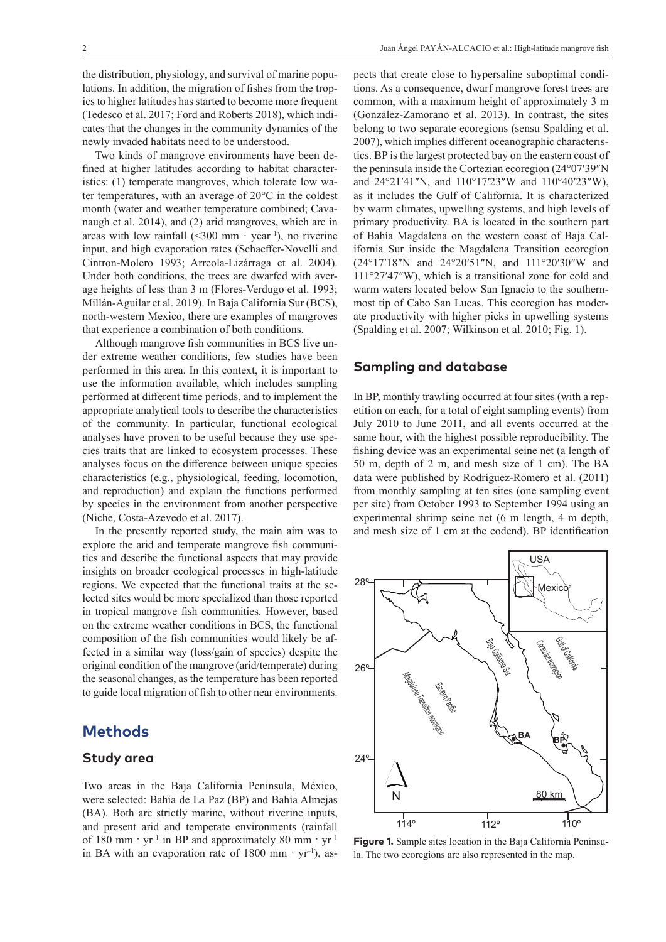the distribution, physiology, and survival of marine populations. In addition, the migration of fishes from the tropics to higher latitudes has started to become more frequent (Tedesco et al. 2017; Ford and Roberts 2018), which indicates that the changes in the community dynamics of the newly invaded habitats need to be understood.

Two kinds of mangrove environments have been defined at higher latitudes according to habitat characteristics: (1) temperate mangroves, which tolerate low water temperatures, with an average of 20°C in the coldest month (water and weather temperature combined; Cavanaugh et al. 2014), and (2) arid mangroves, which are in areas with low rainfall  $(<300$  mm · year<sup>-1</sup>), no riverine input, and high evaporation rates (Schaeffer-Novelli and Cintron-Molero 1993; Arreola-Lizárraga et al. 2004). Under both conditions, the trees are dwarfed with average heights of less than 3 m (Flores-Verdugo et al. 1993; Millán-Aguilar et al. 2019). In Baja California Sur (BCS), north-western Mexico, there are examples of mangroves that experience a combination of both conditions.

Although mangrove fish communities in BCS live under extreme weather conditions, few studies have been performed in this area. In this context, it is important to use the information available, which includes sampling performed at different time periods, and to implement the appropriate analytical tools to describe the characteristics of the community. In particular, functional ecological analyses have proven to be useful because they use species traits that are linked to ecosystem processes. These analyses focus on the difference between unique species characteristics (e.g., physiological, feeding, locomotion, and reproduction) and explain the functions performed by species in the environment from another perspective (Niche, Costa-Azevedo et al. 2017).

In the presently reported study, the main aim was to explore the arid and temperate mangrove fish communities and describe the functional aspects that may provide insights on broader ecological processes in high-latitude regions. We expected that the functional traits at the selected sites would be more specialized than those reported in tropical mangrove fish communities. However, based on the extreme weather conditions in BCS, the functional composition of the fish communities would likely be affected in a similar way (loss/gain of species) despite the original condition of the mangrove (arid/temperate) during the seasonal changes, as the temperature has been reported to guide local migration of fish to other near environments.

### **Methods**

#### **Study area**

Two areas in the Baja California Peninsula, México, were selected: Bahía de La Paz (BP) and Bahía Almejas (BA). Both are strictly marine, without riverine inputs, and present arid and temperate environments (rainfall of 180 mm ·  $yr^{-1}$  in BP and approximately 80 mm ·  $yr^{-1}$ in BA with an evaporation rate of 1800 mm  $\cdot$  yr<sup>-1</sup>), aspects that create close to hypersaline suboptimal conditions. As a consequence, dwarf mangrove forest trees are common, with a maximum height of approximately 3 m (González-Zamorano et al. 2013). In contrast, the sites belong to two separate ecoregions (sensu Spalding et al. 2007), which implies different oceanographic characteristics. BP is the largest protected bay on the eastern coast of the peninsula inside the Cortezian ecoregion (24°07′39″N and 24°21′41″N, and 110°17′23″W and 110°40′23″W), as it includes the Gulf of California. It is characterized by warm climates, upwelling systems, and high levels of primary productivity. BA is located in the southern part of Bahía Magdalena on the western coast of Baja California Sur inside the Magdalena Transition ecoregion (24°17′18″N and 24°20′51″N, and 111°20′30″W and 111°27′47″W), which is a transitional zone for cold and warm waters located below San Ignacio to the southernmost tip of Cabo San Lucas. This ecoregion has moderate productivity with higher picks in upwelling systems (Spalding et al. 2007; Wilkinson et al. 2010; Fig. 1).

#### **Sampling and database**

In BP, monthly trawling occurred at four sites (with a repetition on each, for a total of eight sampling events) from July 2010 to June 2011, and all events occurred at the same hour, with the highest possible reproducibility. The fishing device was an experimental seine net (a length of 50 m, depth of 2 m, and mesh size of 1 cm). The BA data were published by Rodríguez-Romero et al. (2011) from monthly sampling at ten sites (one sampling event per site) from October 1993 to September 1994 using an experimental shrimp seine net (6 m length, 4 m depth, and mesh size of 1 cm at the codend). BP identification



**Figure 1.** Sample sites location in the Baja California Peninsula. The two ecoregions are also represented in the map.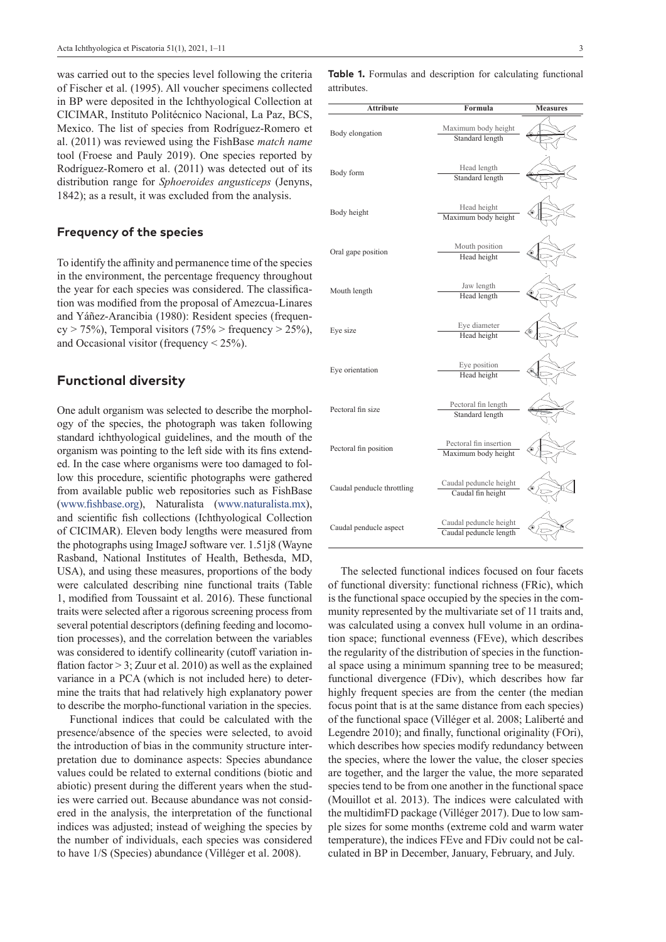was carried out to the species level following the criteria of Fischer et al. (1995). All voucher specimens collected in BP were deposited in the Ichthyological Collection at CICIMAR, Instituto Politécnico Nacional, La Paz, BCS, Mexico. The list of species from Rodríguez-Romero et al. (2011) was reviewed using the FishBase *match name* tool (Froese and Pauly 2019). One species reported by Rodríguez-Romero et al. (2011) was detected out of its distribution range for *Sphoeroides angusticeps* (Jenyns, 1842); as a result, it was excluded from the analysis.

#### **Frequency of the species**

To identify the affinity and permanence time of the species in the environment, the percentage frequency throughout the year for each species was considered. The classification was modified from the proposal of Amezcua-Linares and Yáñez-Arancibia (1980): Resident species (frequen $cy > 75\%$ ), Temporal visitors (75% > frequency > 25%), and Occasional visitor (frequency  $\leq$  25%).

### **Functional diversity**

One adult organism was selected to describe the morphology of the species, the photograph was taken following standard ichthyological guidelines, and the mouth of the organism was pointing to the left side with its fins extended. In the case where organisms were too damaged to follow this procedure, scientific photographs were gathered from available public web repositories such as FishBase (www.fishbase.org), Naturalista (www.naturalista.mx), and scientific fish collections (Ichthyological Collection of CICIMAR). Eleven body lengths were measured from the photographs using ImageJ software ver. 1.51j8 (Wayne Rasband, National Institutes of Health, Bethesda, MD, USA), and using these measures, proportions of the body were calculated describing nine functional traits (Table 1, modified from Toussaint et al. 2016). These functional traits were selected after a rigorous screening process from several potential descriptors (defining feeding and locomotion processes), and the correlation between the variables was considered to identify collinearity (cutoff variation inflation factor  $> 3$ ; Zuur et al. 2010) as well as the explained variance in a PCA (which is not included here) to determine the traits that had relatively high explanatory power to describe the morpho-functional variation in the species.

Functional indices that could be calculated with the presence/absence of the species were selected, to avoid the introduction of bias in the community structure interpretation due to dominance aspects: Species abundance values could be related to external conditions (biotic and abiotic) present during the different years when the studies were carried out. Because abundance was not considered in the analysis, the interpretation of the functional indices was adjusted; instead of weighing the species by the number of individuals, each species was considered to have 1/S (Species) abundance (Villéger et al. 2008).

**Attribute Formula Measures** Body elongation Maximum body height Standard length Body form Head length<br>
Head length<br>  $\frac{1}{2}$ Standard length Body height Head height Head height Head height Maximum body height Oral gape position Mouth position Head height Mouth length Jaw length Head length Eye size Eye diameter Head height Eye orientation Eye position Head height Pectoral fin size Pectoral fin length Standard length Pectoral fin position Pectoral fin insertion Maximum body height Caudal penducle throttling Caudal peduncle height Caudal fin height  $Caudal$  penducle aspect  $\frac{Caudal$  peduncle height Caudal peduncle length

The selected functional indices focused on four facets of functional diversity: functional richness (FRic), which is the functional space occupied by the species in the community represented by the multivariate set of 11 traits and, was calculated using a convex hull volume in an ordination space; functional evenness (FEve), which describes the regularity of the distribution of species in the functional space using a minimum spanning tree to be measured; functional divergence (FDiv), which describes how far highly frequent species are from the center (the median focus point that is at the same distance from each species) of the functional space (Villéger et al. 2008; Laliberté and Legendre 2010); and finally, functional originality (FOri), which describes how species modify redundancy between the species, where the lower the value, the closer species are together, and the larger the value, the more separated species tend to be from one another in the functional space (Mouillot et al. 2013). The indices were calculated with the multidimFD package (Villéger 2017). Due to low sample sizes for some months (extreme cold and warm water temperature), the indices FEve and FDiv could not be calculated in BP in December, January, February, and July.

**Table 1.** Formulas and description for calculating functional attributes.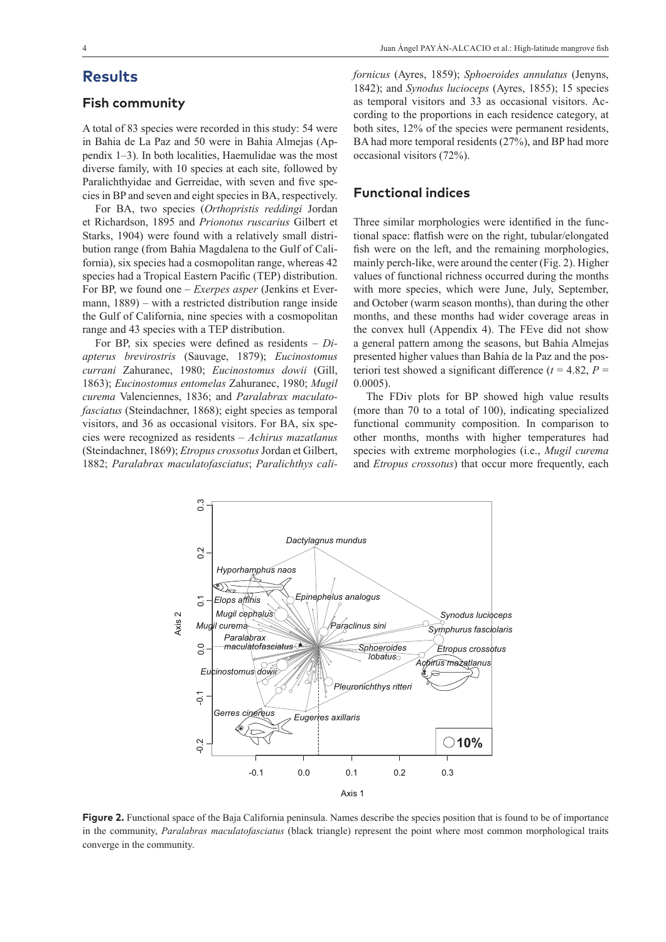# **Results**

### **Fish community**

A total of 83 species were recorded in this study: 54 were in Bahia de La Paz and 50 were in Bahia Almejas (Appendix 1–3). In both localities, Haemulidae was the most diverse family, with 10 species at each site, followed by Paralichthyidae and Gerreidae, with seven and five species in BP and seven and eight species in BA, respectively.

For BA, two species (*Orthopristis reddingi* Jordan et Richardson, 1895 and *Prionotus ruscarius* Gilbert et Starks, 1904) were found with a relatively small distribution range (from Bahia Magdalena to the Gulf of California), six species had a cosmopolitan range, whereas 42 species had a Tropical Eastern Pacific (TEP) distribution. For BP, we found one – *Exerpes asper* (Jenkins et Evermann, 1889) – with a restricted distribution range inside the Gulf of California, nine species with a cosmopolitan range and 43 species with a TEP distribution.

For BP, six species were defined as residents – *Diapterus brevirostris* (Sauvage, 1879); *Eucinostomus currani* Zahuranec, 1980; *Eucinostomus dowii* (Gill, 1863); *Eucinostomus entomelas* Zahuranec, 1980; *Mugil curema* Valenciennes, 1836; and *Paralabrax maculatofasciatus* (Steindachner, 1868); eight species as temporal visitors, and 36 as occasional visitors. For BA, six species were recognized as residents – *Achirus mazatlanus* (Steindachner, 1869); *Etropus crossotus* Jordan et Gilbert, 1882; *Paralabrax maculatofasciatus*; *Paralichthys cali-* *fornicus* (Ayres, 1859); *Sphoeroides annulatus* (Jenyns, 1842); and *Synodus lucioceps* (Ayres, 1855); 15 species as temporal visitors and 33 as occasional visitors. According to the proportions in each residence category, at both sites, 12% of the species were permanent residents, BA had more temporal residents (27%), and BP had more occasional visitors (72%).

### **Functional indices**

Three similar morphologies were identified in the functional space: flatfish were on the right, tubular/elongated fish were on the left, and the remaining morphologies, mainly perch-like, were around the center (Fig. 2). Higher values of functional richness occurred during the months with more species, which were June, July, September, and October (warm season months), than during the other months, and these months had wider coverage areas in the convex hull (Appendix 4). The FEve did not show a general pattern among the seasons, but Bahía Almejas presented higher values than Bahía de la Paz and the posteriori test showed a significant difference  $(t = 4.82, P =$ 0.0005).

The FDiv plots for BP showed high value results (more than 70 to a total of 100), indicating specialized functional community composition. In comparison to other months, months with higher temperatures had species with extreme morphologies (i.e., *Mugil curema* and *Etropus crossotus*) that occur more frequently, each



**Figure 2.** Functional space of the Baja California peninsula. Names describe the species position that is found to be of importance in the community, *Paralabras maculatofasciatus* (black triangle) represent the point where most common morphological traits converge in the community.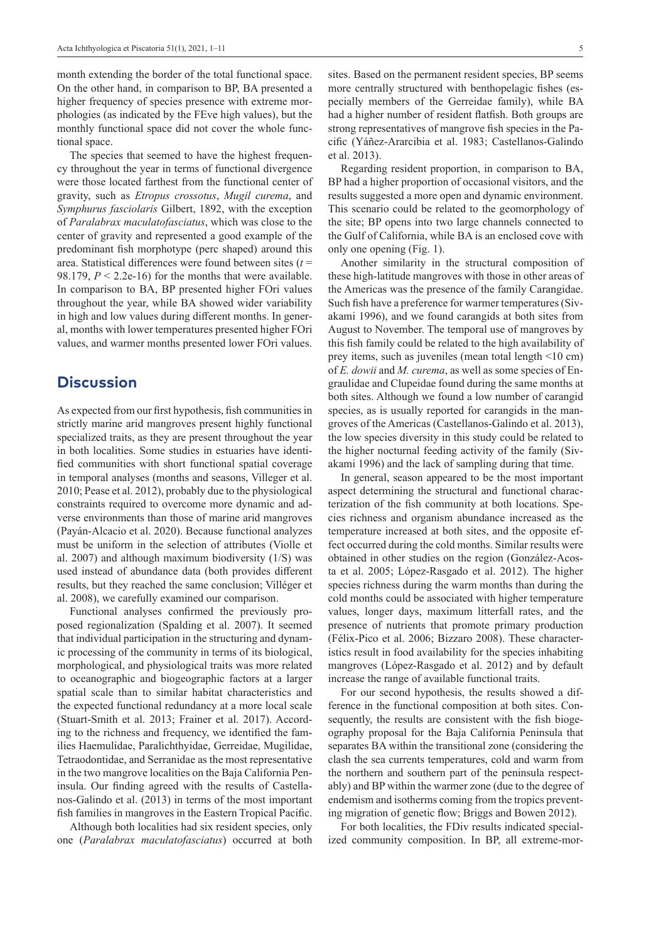month extending the border of the total functional space. On the other hand, in comparison to BP, BA presented a higher frequency of species presence with extreme morphologies (as indicated by the FEve high values), but the monthly functional space did not cover the whole functional space.

The species that seemed to have the highest frequency throughout the year in terms of functional divergence were those located farthest from the functional center of gravity, such as *Etropus crossotus*, *Mugil curema*, and *Symphurus fasciolaris* Gilbert, 1892, with the exception of *Paralabrax maculatofasciatus*, which was close to the center of gravity and represented a good example of the predominant fish morphotype (perc shaped) around this area. Statistical differences were found between sites (*t* = 98.179,  $P < 2.2e-16$ ) for the months that were available. In comparison to BA, BP presented higher FOri values throughout the year, while BA showed wider variability in high and low values during different months. In general, months with lower temperatures presented higher FOri values, and warmer months presented lower FOri values.

### **Discussion**

As expected from our first hypothesis, fish communities in strictly marine arid mangroves present highly functional specialized traits, as they are present throughout the year in both localities. Some studies in estuaries have identified communities with short functional spatial coverage in temporal analyses (months and seasons, Villeger et al. 2010; Pease et al. 2012), probably due to the physiological constraints required to overcome more dynamic and adverse environments than those of marine arid mangroves (Payán-Alcacio et al. 2020). Because functional analyzes must be uniform in the selection of attributes (Violle et al. 2007) and although maximum biodiversity (1/S) was used instead of abundance data (both provides different results, but they reached the same conclusion; Villéger et al. 2008), we carefully examined our comparison.

Functional analyses confirmed the previously proposed regionalization (Spalding et al. 2007). It seemed that individual participation in the structuring and dynamic processing of the community in terms of its biological, morphological, and physiological traits was more related to oceanographic and biogeographic factors at a larger spatial scale than to similar habitat characteristics and the expected functional redundancy at a more local scale (Stuart-Smith et al. 2013; Frainer et al. 2017). According to the richness and frequency, we identified the families Haemulidae, Paralichthyidae, Gerreidae, Mugilidae, Tetraodontidae, and Serranidae as the most representative in the two mangrove localities on the Baja California Peninsula. Our finding agreed with the results of Castellanos-Galindo et al. (2013) in terms of the most important fish families in mangroves in the Eastern Tropical Pacific.

Although both localities had six resident species, only one (*Paralabrax maculatofasciatus*) occurred at both

sites. Based on the permanent resident species, BP seems more centrally structured with benthopelagic fishes (especially members of the Gerreidae family), while BA had a higher number of resident flatfish. Both groups are strong representatives of mangrove fish species in the Pacific (Yáñez-Ararcibia et al. 1983; Castellanos-Galindo et al. 2013).

Regarding resident proportion, in comparison to BA, BP had a higher proportion of occasional visitors, and the results suggested a more open and dynamic environment. This scenario could be related to the geomorphology of the site; BP opens into two large channels connected to the Gulf of California, while BA is an enclosed cove with only one opening (Fig. 1).

Another similarity in the structural composition of these high-latitude mangroves with those in other areas of the Americas was the presence of the family Carangidae. Such fish have a preference for warmer temperatures (Sivakami 1996), and we found carangids at both sites from August to November. The temporal use of mangroves by this fish family could be related to the high availability of prey items, such as juveniles (mean total length <10 cm) of *E. dowii* and *M. curema*, as well as some species of Engraulidae and Clupeidae found during the same months at both sites. Although we found a low number of carangid species, as is usually reported for carangids in the mangroves of the Americas (Castellanos-Galindo et al. 2013), the low species diversity in this study could be related to the higher nocturnal feeding activity of the family (Sivakami 1996) and the lack of sampling during that time.

In general, season appeared to be the most important aspect determining the structural and functional characterization of the fish community at both locations. Species richness and organism abundance increased as the temperature increased at both sites, and the opposite effect occurred during the cold months. Similar results were obtained in other studies on the region (González-Acosta et al. 2005; López-Rasgado et al. 2012). The higher species richness during the warm months than during the cold months could be associated with higher temperature values, longer days, maximum litterfall rates, and the presence of nutrients that promote primary production (Félix-Pico et al. 2006; Bizzaro 2008). These characteristics result in food availability for the species inhabiting mangroves (López-Rasgado et al. 2012) and by default increase the range of available functional traits.

For our second hypothesis, the results showed a difference in the functional composition at both sites. Consequently, the results are consistent with the fish biogeography proposal for the Baja California Peninsula that separates BA within the transitional zone (considering the clash the sea currents temperatures, cold and warm from the northern and southern part of the peninsula respectably) and BP within the warmer zone (due to the degree of endemism and isotherms coming from the tropics preventing migration of genetic flow; Briggs and Bowen 2012).

For both localities, the FDiv results indicated specialized community composition. In BP, all extreme-mor-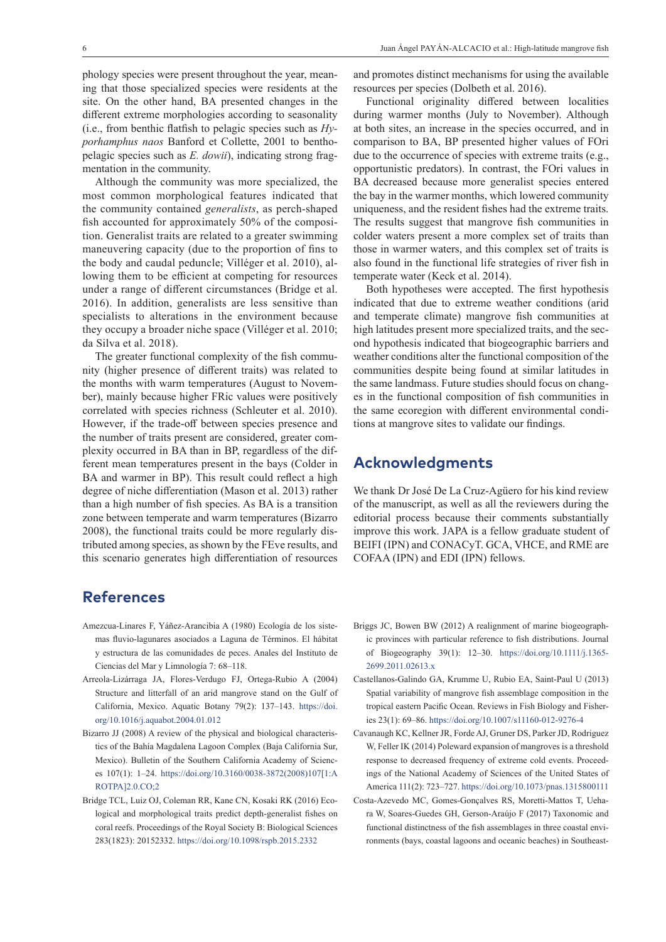phology species were present throughout the year, meaning that those specialized species were residents at the site. On the other hand, BA presented changes in the different extreme morphologies according to seasonality (i.e., from benthic flatfish to pelagic species such as *Hyporhamphus naos* Banford et Collette, 2001 to benthopelagic species such as *E. dowii*), indicating strong fragmentation in the community.

Although the community was more specialized, the most common morphological features indicated that the community contained *generalists*, as perch-shaped fish accounted for approximately 50% of the composition. Generalist traits are related to a greater swimming maneuvering capacity (due to the proportion of fins to the body and caudal peduncle; Villéger et al. 2010), allowing them to be efficient at competing for resources under a range of different circumstances (Bridge et al. 2016). In addition, generalists are less sensitive than specialists to alterations in the environment because they occupy a broader niche space (Villéger et al. 2010; da Silva et al. 2018).

The greater functional complexity of the fish community (higher presence of different traits) was related to the months with warm temperatures (August to November), mainly because higher FRic values were positively correlated with species richness (Schleuter et al. 2010). However, if the trade-off between species presence and the number of traits present are considered, greater complexity occurred in BA than in BP, regardless of the different mean temperatures present in the bays (Colder in BA and warmer in BP). This result could reflect a high degree of niche differentiation (Mason et al. 2013) rather than a high number of fish species. As BA is a transition zone between temperate and warm temperatures (Bizarro 2008), the functional traits could be more regularly distributed among species, as shown by the FEve results, and this scenario generates high differentiation of resources

### **References**

- Amezcua-Linares F, Yáñez-Arancibia A (1980) Ecología de los sistemas fluvio-lagunares asociados a Laguna de Términos. El hábitat y estructura de las comunidades de peces. Anales del Instituto de Ciencias del Mar y Limnología 7: 68–118.
- Arreola-Lizárraga JA, Flores-Verdugo FJ, Ortega-Rubio A (2004) Structure and litterfall of an arid mangrove stand on the Gulf of California, Mexico. Aquatic Botany 79(2): 137–143. [https://doi.](https://doi.org/10.1016/j.aquabot.2004.01.012) [org/10.1016/j.aquabot.2004.01.012](https://doi.org/10.1016/j.aquabot.2004.01.012)
- Bizarro JJ (2008) A review of the physical and biological characteristics of the Bahía Magdalena Lagoon Complex (Baja California Sur, Mexico). Bulletin of the Southern California Academy of Sciences 107(1): 1–24. [https://doi.org/10.3160/0038-3872\(2008\)107\[1:A](https://doi.org/10.3160/0038-3872(2008)107%5B1:AROTPA%5D2.0.CO;2) [ROTPA\]2.0.CO;2](https://doi.org/10.3160/0038-3872(2008)107%5B1:AROTPA%5D2.0.CO;2)
- Bridge TCL, Luiz OJ, Coleman RR, Kane CN, Kosaki RK (2016) Ecological and morphological traits predict depth-generalist fishes on coral reefs. Proceedings of the Royal Society B: Biological Sciences 283(1823): 20152332. <https://doi.org/10.1098/rspb.2015.2332>

and promotes distinct mechanisms for using the available resources per species (Dolbeth et al. 2016).

Functional originality differed between localities during warmer months (July to November). Although at both sites, an increase in the species occurred, and in comparison to BA, BP presented higher values of FOri due to the occurrence of species with extreme traits (e.g., opportunistic predators). In contrast, the FOri values in BA decreased because more generalist species entered the bay in the warmer months, which lowered community uniqueness, and the resident fishes had the extreme traits. The results suggest that mangrove fish communities in colder waters present a more complex set of traits than those in warmer waters, and this complex set of traits is also found in the functional life strategies of river fish in temperate water (Keck et al. 2014).

Both hypotheses were accepted. The first hypothesis indicated that due to extreme weather conditions (arid and temperate climate) mangrove fish communities at high latitudes present more specialized traits, and the second hypothesis indicated that biogeographic barriers and weather conditions alter the functional composition of the communities despite being found at similar latitudes in the same landmass. Future studies should focus on changes in the functional composition of fish communities in the same ecoregion with different environmental conditions at mangrove sites to validate our findings.

# **Acknowledgments**

We thank Dr José De La Cruz-Agüero for his kind review of the manuscript, as well as all the reviewers during the editorial process because their comments substantially improve this work. JAPA is a fellow graduate student of BEIFI (IPN) and CONACyT. GCA, VHCE, and RME are COFAA (IPN) and EDI (IPN) fellows.

- Briggs JC, Bowen BW (2012) A realignment of marine biogeographic provinces with particular reference to fish distributions. Journal of Biogeography 39(1): 12–30. [https://doi.org/10.1111/j.1365-](https://doi.org/10.1111/j.1365-2699.2011.02613.x) [2699.2011.02613.x](https://doi.org/10.1111/j.1365-2699.2011.02613.x)
- Castellanos-Galindo GA, Krumme U, Rubio EA, Saint-Paul U (2013) Spatial variability of mangrove fish assemblage composition in the tropical eastern Pacific Ocean. Reviews in Fish Biology and Fisheries 23(1): 69–86. <https://doi.org/10.1007/s11160-012-9276-4>
- Cavanaugh KC, Kellner JR, Forde AJ, Gruner DS, Parker JD, Rodriguez W, Feller IK (2014) Poleward expansion of mangroves is a threshold response to decreased frequency of extreme cold events. Proceedings of the National Academy of Sciences of the United States of America 111(2): 723–727.<https://doi.org/10.1073/pnas.1315800111>
- Costa-Azevedo MC, Gomes-Gonçalves RS, Moretti-Mattos T, Uehara W, Soares-Guedes GH, Gerson-Araújo F (2017) Taxonomic and functional distinctness of the fish assemblages in three coastal environments (bays, coastal lagoons and oceanic beaches) in Southeast-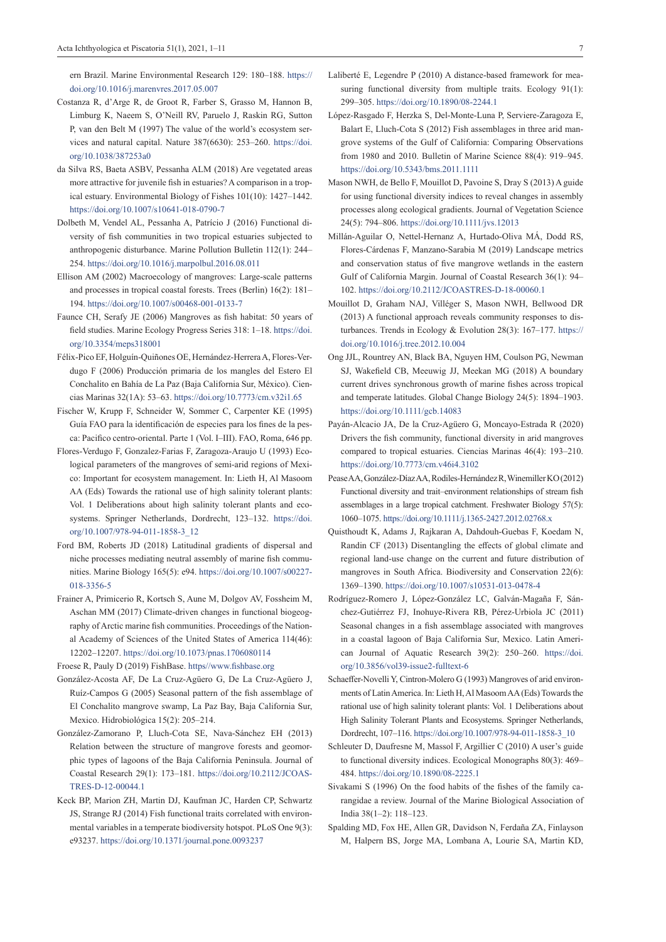ern Brazil. Marine Environmental Research 129: 180–188. [https://](https://doi.org/10.1016/j.marenvres.2017.05.007) [doi.org/10.1016/j.marenvres.2017.05.007](https://doi.org/10.1016/j.marenvres.2017.05.007)

- Costanza R, d'Arge R, de Groot R, Farber S, Grasso M, Hannon B, Limburg K, Naeem S, O'Neill RV, Paruelo J, Raskin RG, Sutton P, van den Belt M (1997) The value of the world's ecosystem services and natural capital. Nature 387(6630): 253–260. [https://doi.](https://doi.org/10.1038/387253a0) [org/10.1038/387253a0](https://doi.org/10.1038/387253a0)
- da Silva RS, Baeta ASBV, Pessanha ALM (2018) Are vegetated areas more attractive for juvenile fish in estuaries? A comparison in a tropical estuary. Environmental Biology of Fishes 101(10): 1427–1442. <https://doi.org/10.1007/s10641-018-0790-7>
- Dolbeth M, Vendel AL, Pessanha A, Patrício J (2016) Functional diversity of fish communities in two tropical estuaries subjected to anthropogenic disturbance. Marine Pollution Bulletin 112(1): 244– 254.<https://doi.org/10.1016/j.marpolbul.2016.08.011>
- Ellison AM (2002) Macroecology of mangroves: Large-scale patterns and processes in tropical coastal forests. Trees (Berlin) 16(2): 181– 194.<https://doi.org/10.1007/s00468-001-0133-7>
- Faunce CH, Serafy JE (2006) Mangroves as fish habitat: 50 years of field studies. Marine Ecology Progress Series 318: 1–18. [https://doi.](https://doi.org/10.3354/meps318001) [org/10.3354/meps318001](https://doi.org/10.3354/meps318001)
- Félix-Pico EF, Holguín-Quiñones OE, Hernández-Herrera A, Flores-Verdugo F (2006) Producción primaria de los mangles del Estero El Conchalito en Bahía de La Paz (Baja California Sur, México). Ciencias Marinas 32(1A): 53–63. <https://doi.org/10.7773/cm.v32i1.65>
- Fischer W, Krupp F, Schneider W, Sommer C, Carpenter KE (1995) Guía FAO para la identificación de especies para los fines de la pesca: Pacifico centro-oriental. Parte 1 (Vol. I–III). FAO, Roma, 646 pp.
- Flores-Verdugo F, Gonzalez-Farias F, Zaragoza-Araujo U (1993) Ecological parameters of the mangroves of semi-arid regions of Mexico: Important for ecosystem management. In: Lieth H, Al Masoom AA (Eds) Towards the rational use of high salinity tolerant plants: Vol. 1 Deliberations about high salinity tolerant plants and ecosystems. Springer Netherlands, Dordrecht, 123–132. [https://doi.](https://doi.org/10.1007/978-94-011-1858-3_12) [org/10.1007/978-94-011-1858-3\\_12](https://doi.org/10.1007/978-94-011-1858-3_12)
- Ford BM, Roberts JD (2018) Latitudinal gradients of dispersal and niche processes mediating neutral assembly of marine fish communities. Marine Biology 165(5): e94. [https://doi.org/10.1007/s00227-](https://doi.org/10.1007/s00227-018-3356-5) [018-3356-5](https://doi.org/10.1007/s00227-018-3356-5)
- Frainer A, Primicerio R, Kortsch S, Aune M, Dolgov AV, Fossheim M, Aschan MM (2017) Climate-driven changes in functional biogeography of Arctic marine fish communities. Proceedings of the National Academy of Sciences of the United States of America 114(46): 12202–12207.<https://doi.org/10.1073/pnas.1706080114>
- Froese R, Pauly D (2019) FishBase. https//www.fishbase.org
- González-Acosta AF, De La Cruz-Agüero G, De La Cruz-Agüero J, Ruíz-Campos G (2005) Seasonal pattern of the fish assemblage of El Conchalito mangrove swamp, La Paz Bay, Baja California Sur, Mexico. Hidrobiológica 15(2): 205–214.
- González-Zamorano P, Lluch-Cota SE, Nava-Sánchez EH (2013) Relation between the structure of mangrove forests and geomorphic types of lagoons of the Baja California Peninsula. Journal of Coastal Research 29(1): 173–181. [https://doi.org/10.2112/JCOAS-](https://doi.org/10.2112/JCOASTRES-D-12-00044.1)[TRES-D-12-00044.1](https://doi.org/10.2112/JCOASTRES-D-12-00044.1)
- Keck BP, Marion ZH, Martin DJ, Kaufman JC, Harden CP, Schwartz JS, Strange RJ (2014) Fish functional traits correlated with environmental variables in a temperate biodiversity hotspot. PLoS One 9(3): e93237. <https://doi.org/10.1371/journal.pone.0093237>
- Laliberté E, Legendre P (2010) A distance-based framework for measuring functional diversity from multiple traits. Ecology 91(1): 299–305. <https://doi.org/10.1890/08-2244.1>
- López-Rasgado F, Herzka S, Del-Monte-Luna P, Serviere-Zaragoza E, Balart E, Lluch-Cota S (2012) Fish assemblages in three arid mangrove systems of the Gulf of California: Comparing Observations from 1980 and 2010. Bulletin of Marine Science 88(4): 919–945. <https://doi.org/10.5343/bms.2011.1111>
- Mason NWH, de Bello F, Mouillot D, Pavoine S, Dray S (2013) A guide for using functional diversity indices to reveal changes in assembly processes along ecological gradients. Journal of Vegetation Science 24(5): 794–806.<https://doi.org/10.1111/jvs.12013>
- Millán-Aguilar O, Nettel-Hernanz A, Hurtado-Oliva MÁ, Dodd RS, Flores-Cárdenas F, Manzano-Sarabia M (2019) Landscape metrics and conservation status of five mangrove wetlands in the eastern Gulf of California Margin. Journal of Coastal Research 36(1): 94– 102. <https://doi.org/10.2112/JCOASTRES-D-18-00060.1>
- Mouillot D, Graham NAJ, Villéger S, Mason NWH, Bellwood DR (2013) A functional approach reveals community responses to disturbances. Trends in Ecology & Evolution 28(3): 167–177. [https://](https://doi.org/10.1016/j.tree.2012.10.004) [doi.org/10.1016/j.tree.2012.10.004](https://doi.org/10.1016/j.tree.2012.10.004)
- Ong JJL, Rountrey AN, Black BA, Nguyen HM, Coulson PG, Newman SJ, Wakefield CB, Meeuwig JJ, Meekan MG (2018) A boundary current drives synchronous growth of marine fishes across tropical and temperate latitudes. Global Change Biology 24(5): 1894–1903. <https://doi.org/10.1111/gcb.14083>
- Payán-Alcacio JA, De la Cruz-Agüero G, Moncayo-Estrada R (2020) Drivers the fish community, functional diversity in arid mangroves compared to tropical estuaries. Ciencias Marinas 46(4): 193–210. <https://doi.org/10.7773/cm.v46i4.3102>
- Pease AA, González‐Díaz AA, Rodiles‐Hernández R, Winemiller KO (2012) Functional diversity and trait–environment relationships of stream fish assemblages in a large tropical catchment. Freshwater Biology 57(5): 1060–1075. <https://doi.org/10.1111/j.1365-2427.2012.02768.x>
- Quisthoudt K, Adams J, Rajkaran A, Dahdouh-Guebas F, Koedam N, Randin CF (2013) Disentangling the effects of global climate and regional land-use change on the current and future distribution of mangroves in South Africa. Biodiversity and Conservation 22(6): 1369–1390. <https://doi.org/10.1007/s10531-013-0478-4>
- Rodríguez-Romero J, López-González LC, Galván-Magaña F, Sánchez-Gutiérrez FJ, Inohuye-Rivera RB, Pérez-Urbiola JC (2011) Seasonal changes in a fish assemblage associated with mangroves in a coastal lagoon of Baja California Sur, Mexico. Latin American Journal of Aquatic Research 39(2): 250–260. [https://doi.](https://doi.org/10.3856/vol39-issue2-fulltext-6) [org/10.3856/vol39-issue2-fulltext-6](https://doi.org/10.3856/vol39-issue2-fulltext-6)
- Schaeffer-Novelli Y, Cintron-Molero G (1993) Mangroves of arid environments of Latin America. In: Lieth H, Al Masoom AA (Eds) Towards the rational use of high salinity tolerant plants: Vol. 1 Deliberations about High Salinity Tolerant Plants and Ecosystems. Springer Netherlands, Dordrecht, 107–116. [https://doi.org/10.1007/978-94-011-1858-3\\_10](https://doi.org/10.1007/978-94-011-1858-3_10)
- Schleuter D, Daufresne M, Massol F, Argillier C (2010) A user's guide to functional diversity indices. Ecological Monographs 80(3): 469– 484. <https://doi.org/10.1890/08-2225.1>
- Sivakami S (1996) On the food habits of the fishes of the family carangidae a review. Journal of the Marine Biological Association of India 38(1–2): 118–123.
- Spalding MD, Fox HE, Allen GR, Davidson N, Ferdaña ZA, Finlayson M, Halpern BS, Jorge MA, Lombana A, Lourie SA, Martin KD,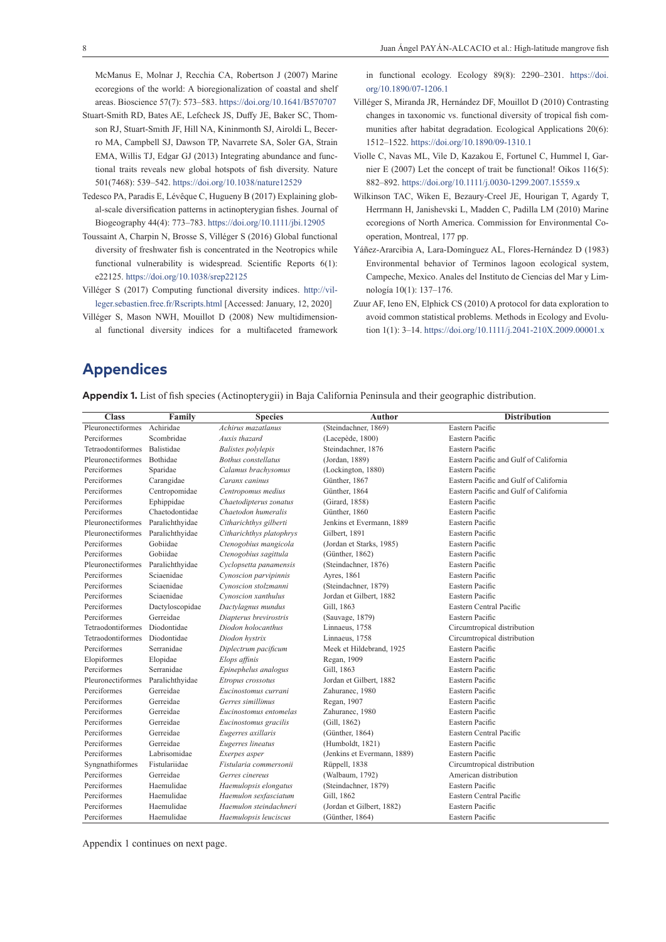McManus E, Molnar J, Recchia CA, Robertson J (2007) Marine ecoregions of the world: A bioregionalization of coastal and shelf areas. Bioscience 57(7): 573–583.<https://doi.org/10.1641/B570707>

- Stuart-Smith RD, Bates AE, Lefcheck JS, Duffy JE, Baker SC, Thomson RJ, Stuart-Smith JF, Hill NA, Kininmonth SJ, Airoldi L, Becerro MA, Campbell SJ, Dawson TP, Navarrete SA, Soler GA, Strain EMA, Willis TJ, Edgar GJ (2013) Integrating abundance and functional traits reveals new global hotspots of fish diversity. Nature 501(7468): 539–542. <https://doi.org/10.1038/nature12529>
- Tedesco PA, Paradis E, Lévêque C, Hugueny B (2017) Explaining global-scale diversification patterns in actinopterygian fishes. Journal of Biogeography 44(4): 773–783. <https://doi.org/10.1111/jbi.12905>
- Toussaint A, Charpin N, Brosse S, Villéger S (2016) Global functional diversity of freshwater fish is concentrated in the Neotropics while functional vulnerability is widespread. Scientific Reports 6(1): e22125. <https://doi.org/10.1038/srep22125>
- Villéger S (2017) Computing functional diversity indices. [http://vil](http://villeger.sebastien.free.fr/Rscripts.html)[leger.sebastien.free.fr/Rscripts.html](http://villeger.sebastien.free.fr/Rscripts.html) [Accessed: January, 12, 2020]
- Villéger S, Mason NWH, Mouillot D (2008) New multidimensional functional diversity indices for a multifaceted framework

in functional ecology. Ecology 89(8): 2290–2301. [https://doi.](https://doi.org/10.1890/07-1206.1) [org/10.1890/07-1206.1](https://doi.org/10.1890/07-1206.1)

- Villéger S, Miranda JR, Hernández DF, Mouillot D (2010) Contrasting changes in taxonomic vs. functional diversity of tropical fish communities after habitat degradation. Ecological Applications 20(6): 1512–1522.<https://doi.org/10.1890/09-1310.1>
- Violle C, Navas ML, Vile D, Kazakou E, Fortunel C, Hummel I, Garnier E (2007) Let the concept of trait be functional! Oikos 116(5): 882–892.<https://doi.org/10.1111/j.0030-1299.2007.15559.x>
- Wilkinson TAC, Wiken E, Bezaury-Creel JE, Hourigan T, Agardy T, Herrmann H, Janishevski L, Madden C, Padilla LM (2010) Marine ecoregions of North America. Commission for Environmental Cooperation, Montreal, 177 pp.
- Yáñez-Ararcibia A, Lara-Domínguez AL, Flores-Hernández D (1983) Environmental behavior of Terminos lagoon ecological system, Campeche, Mexico. Anales del Instituto de Ciencias del Mar y Limnología 10(1): 137–176.
- Zuur AF, Ieno EN, Elphick CS (2010) A protocol for data exploration to avoid common statistical problems. Methods in Ecology and Evolution 1(1): 3–14.<https://doi.org/10.1111/j.2041-210X.2009.00001.x>

# **Appendices**

**Appendix 1.** List of fish species (Actinopterygii) in Baja California Peninsula and their geographic distribution.

| <b>Class</b>      | Family            | <b>Species</b>             | <b>Author</b>               | <b>Distribution</b>                    |
|-------------------|-------------------|----------------------------|-----------------------------|----------------------------------------|
| Pleuronectiformes | Achiridae         | Achirus mazatlanus         | (Steindachner, 1869)        | Eastern Pacific                        |
| Perciformes       | Scombridae        | Auxis thazard              | (Lacepède, 1800)            | Eastern Pacific                        |
| Tetraodontiformes | <b>Balistidae</b> | <b>Balistes</b> polylepis  | Steindachner, 1876          | Eastern Pacific                        |
| Pleuronectiformes | Bothidae          | <b>Bothus</b> constellatus | (Jordan, 1889)              | Eastern Pacific and Gulf of California |
| Perciformes       | Sparidae          | Calamus brachysomus        | (Lockington, 1880)          | Eastern Pacific                        |
| Perciformes       | Carangidae        | Caranx caninus             | Günther, 1867               | Eastern Pacific and Gulf of California |
| Perciformes       | Centropomidae     | Centropomus medius         | Günther, 1864               | Eastern Pacific and Gulf of California |
| Perciformes       | Ephippidae        | Chaetodipterus zonatus     | (Girard, 1858)              | Eastern Pacific                        |
| Perciformes       | Chaetodontidae    | Chaetodon humeralis        | Günther, 1860               | Eastern Pacific                        |
| Pleuronectiformes | Paralichthyidae   | Citharichthys gilberti     | Jenkins et Evermann, 1889   | Eastern Pacific                        |
| Pleuronectiformes | Paralichthyidae   | Citharichthys platophrys   | Gilbert, 1891               | Eastern Pacific                        |
| Perciformes       | Gobiidae          | Ctenogobius mangicola      | (Jordan et Starks, 1985)    | Eastern Pacific                        |
| Perciformes       | Gobiidae          | Ctenogobius sagittula      | (Günther, 1862)             | Eastern Pacific                        |
| Pleuronectiformes | Paralichthyidae   | Cyclopsetta panamensis     | (Steindachner, 1876)        | Eastern Pacific                        |
| Perciformes       | Sciaenidae        | Cynoscion parvipinnis      | Ayres, 1861                 | Eastern Pacific                        |
| Perciformes       | Sciaenidae        | Cynoscion stolzmanni       | (Steindachner, 1879)        | Eastern Pacific                        |
| Perciformes       | Sciaenidae        | Cynoscion xanthulus        | Jordan et Gilbert, 1882     | Eastern Pacific                        |
| Perciformes       | Dactyloscopidae   | Dactylagnus mundus         | Gill, 1863                  | Eastern Central Pacific                |
| Perciformes       | Gerreidae         | Diapterus brevirostris     | (Sauvage, 1879)             | Eastern Pacific                        |
| Tetraodontiformes | Diodontidae       | Diodon holocanthus         | Linnaeus, 1758              | Circumtropical distribution            |
| Tetraodontiformes | Diodontidae       | Diodon hystrix             | Linnaeus, 1758              | Circumtropical distribution            |
| Perciformes       | Serranidae        | Diplectrum pacificum       | Meek et Hildebrand, 1925    | Eastern Pacific                        |
| Elopiformes       | Elopidae          | Elops affinis              | Regan, 1909                 | Eastern Pacific                        |
| Perciformes       | Serranidae        | Epinephelus analogus       | Gill, 1863                  | Eastern Pacific                        |
| Pleuronectiformes | Paralichthyidae   | Etropus crossotus          | Jordan et Gilbert, 1882     | Eastern Pacific                        |
| Perciformes       | Gerreidae         | Eucinostomus currani       | Zahuranec, 1980             | Eastern Pacific                        |
| Perciformes       | Gerreidae         | Gerres simillimus          | Regan, 1907                 | Eastern Pacific                        |
| Perciformes       | Gerreidae         | Eucinostomus entomelas     | Zahuranec, 1980             | Eastern Pacific                        |
| Perciformes       | Gerreidae         | Eucinostomus gracilis      | (Gill, 1862)                | Eastern Pacific                        |
| Perciformes       | Gerreidae         | Eugerres axillaris         | (Günther, 1864)             | Eastern Central Pacific                |
| Perciformes       | Gerreidae         | Eugerres lineatus          | (Humboldt, 1821)            | Eastern Pacific                        |
| Perciformes       | Labrisomidae      | Exerpes asper              | (Jenkins et Evermann, 1889) | Eastern Pacific                        |
| Syngnathiformes   | Fistulariidae     | Fistularia commersonii     | Rüppell, 1838               | Circumtropical distribution            |
| Perciformes       | Gerreidae         | Gerres cinereus            | (Walbaum, 1792)             | American distribution                  |
| Perciformes       | Haemulidae        | Haemulopsis elongatus      | (Steindachner, 1879)        | Eastern Pacific                        |
| Perciformes       | Haemulidae        | Haemulon sexfasciatum      | Gill, 1862                  | Eastern Central Pacific                |
| Perciformes       | Haemulidae        | Haemulon steindachneri     | (Jordan et Gilbert, 1882)   | Eastern Pacific                        |
| Perciformes       | Haemulidae        | Haemulopsis leuciscus      | (Günther, 1864)             | Eastern Pacific                        |

Appendix 1 continues on next page.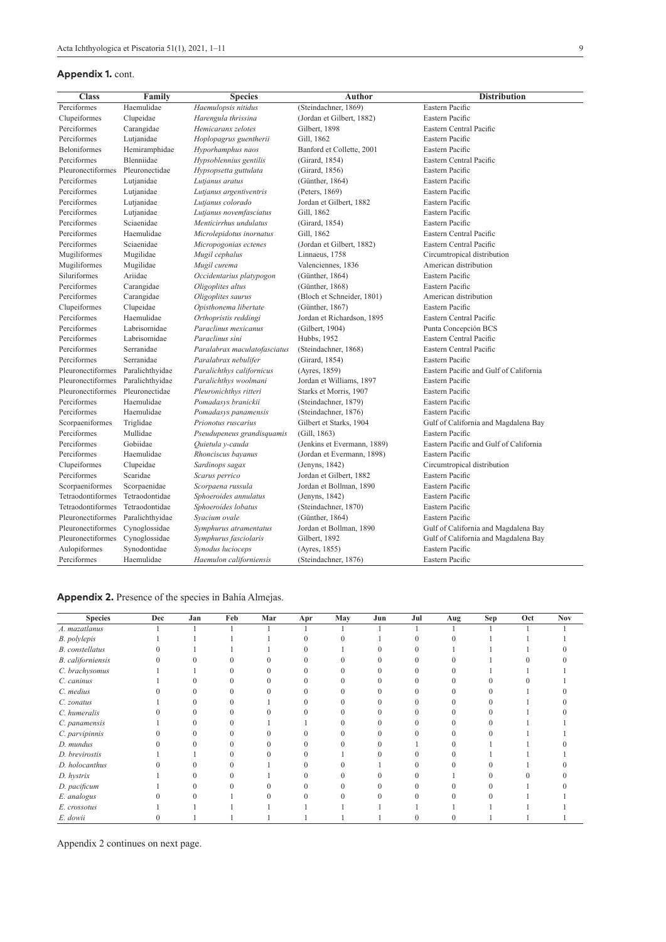#### **Appendix 1.** cont.

|   | <b>Distribution</b> |
|---|---------------------|
| Ć |                     |

| <b>Class</b>             | Family            | <b>Species</b>               | Author                      | <b>Distribution</b>                    |
|--------------------------|-------------------|------------------------------|-----------------------------|----------------------------------------|
| Perciformes              | Haemulidae        | Haemulopsis nitidus          | (Steindachner, 1869)        | Eastern Pacific                        |
| Clupeiformes             | Clupeidae         | Harengula thrissina          | (Jordan et Gilbert, 1882)   | Eastern Pacific                        |
| Perciformes              | Carangidae        | Hemicaranx zelotes           | Gilbert, 1898               | Eastern Central Pacific                |
| Perciformes              | Lutjanidae        | Hoplopagrus guentherii       | Gill, 1862                  | Eastern Pacific                        |
| <b>Beloniformes</b>      | Hemiramphidae     | Hyporhamphus naos            | Banford et Collette, 2001   | Eastern Pacific                        |
| Perciformes              | <b>Blenniidae</b> | Hypsoblennius gentilis       | (Girard, 1854)              | Eastern Central Pacific                |
| Pleuronectiformes        | Pleuronectidae    | Hypsopsetta guttulata        | (Girard, 1856)              | Eastern Pacific                        |
| Perciformes              | Lutjanidae        | Lutjanus aratus              | (Günther, 1864)             | Eastern Pacific                        |
| Perciformes              | Lutjanidae        | Lutjanus argentiventris      | (Peters, 1869)              | Eastern Pacific                        |
| Perciformes              | Lutjanidae        | Lutjanus colorado            | Jordan et Gilbert, 1882     | Eastern Pacific                        |
| Perciformes              | Lutjanidae        | Lutjanus novemfasciatus      | Gill, 1862                  | Eastern Pacific                        |
| Perciformes              | Sciaenidae        | Menticirrhus undulatus       | (Girard, 1854)              | Eastern Pacific                        |
| Perciformes              | Haemulidae        | Microlepidotus inornatus     | Gill, 1862                  | Eastern Central Pacific                |
| Perciformes              | Sciaenidae        | Micropogonias ectenes        | (Jordan et Gilbert, 1882)   | Eastern Central Pacific                |
| Mugiliformes             | Mugilidae         | Mugil cephalus               | Linnaeus, 1758              | Circumtropical distribution            |
| Mugiliformes             | Mugilidae         | Mugil curema                 | Valenciennes, 1836          | American distribution                  |
| Siluriformes             | Ariidae           | Occidentarius platypogon     | (Günther, $1864$ )          | Eastern Pacific                        |
| Perciformes              | Carangidae        | Oligoplites altus            | (Günther, 1868)             | Eastern Pacific                        |
| Perciformes              | Carangidae        | Oligoplites saurus           | (Bloch et Schneider, 1801)  | American distribution                  |
| Clupeiformes             | Clupeidae         | Opisthonema libertate        | (Günther, 1867)             | Eastern Pacific                        |
| Perciformes              | Haemulidae        | Orthopristis reddingi        | Jordan et Richardson, 1895  | Eastern Central Pacific                |
| Perciformes              | Labrisomidae      | Paraclinus mexicanus         | (Gilbert, 1904)             | Punta Concepción BCS                   |
| Perciformes              | Labrisomidae      | Paraclinus sini              | Hubbs, 1952                 | Eastern Central Pacific                |
| Perciformes              | Serranidae        | Paralabrax maculatofasciatus | (Steindachner, 1868)        | Eastern Central Pacific                |
| Perciformes              | Serranidae        | Paralabrax nebulifer         | (Girard, 1854)              | Eastern Pacific                        |
| Pleuronectiformes        | Paralichthyidae   | Paralichthys californicus    | (Ayres, 1859)               | Eastern Pacific and Gulf of California |
| Pleuronectiformes        | Paralichthyidae   | Paralichthys woolmani        | Jordan et Williams, 1897    | Eastern Pacific                        |
| <b>Pleuronectiformes</b> | Pleuronectidae    | Pleuronichthys ritteri       | Starks et Morris, 1907      | Eastern Pacific                        |
| Perciformes              | Haemulidae        | Pomadasys branickii          | (Steindachner, 1879)        | Eastern Pacific                        |
| Perciformes              | Haemulidae        | Pomadasys panamensis         | (Steindachner, 1876)        | Eastern Pacific                        |
| Scorpaeniformes          | Triglidae         | Prionotus ruscarius          | Gilbert et Starks, 1904     | Gulf of California and Magdalena Bay   |
| Perciformes              | Mullidae          | Pseudupeneus grandisquamis   | (Gill, 1863)                | Eastern Pacific                        |
| Perciformes              | Gobiidae          | Quietula y-cauda             | (Jenkins et Evermann, 1889) | Eastern Pacific and Gulf of California |
| Perciformes              | Haemulidae        | Rhonciscus bayanus           | (Jordan et Evermann, 1898)  | Eastern Pacific                        |
| Clupeiformes             | Clupeidae         | Sardinops sagax              | (Jenyns, 1842)              | Circumtropical distribution            |
| Perciformes              | Scaridae          | Scarus perrico               | Jordan et Gilbert, 1882     | Eastern Pacific                        |
| Scorpaeniformes          | Scorpaenidae      | Scorpaena russula            | Jordan et Bollman, 1890     | Eastern Pacific                        |
| Tetraodontiformes        | Tetraodontidae    | Sphoeroides annulatus        | (Jenyns, 1842)              | Eastern Pacific                        |
| Tetraodontiformes        | Tetraodontidae    | Sphoeroides lobatus          | (Steindachner, 1870)        | Eastern Pacific                        |
| Pleuronectiformes        | Paralichthyidae   | Svacium ovale                | (Günther, 1864)             | Eastern Pacific                        |
| Pleuronectiformes        | Cynoglossidae     | Symphurus atramentatus       | Jordan et Bollman, 1890     | Gulf of California and Magdalena Bay   |
| Pleuronectiformes        | Cynoglossidae     | Symphurus fasciolaris        | Gilbert, 1892               | Gulf of California and Magdalena Bay   |
| Aulopiformes             | Synodontidae      | Synodus lucioceps            | (Ayres, 1855)               | Eastern Pacific                        |
| Perciformes              | Haemulidae        | Haemulon californiensis      | (Steindachner, 1876)        | Eastern Pacific                        |
|                          |                   |                              |                             |                                        |

**Appendix 2.** Presence of the species in Bahía Almejas.

| <b>Species</b>    | Dec | Jan | Feb | Mar | Apr | May | Jun | Jul | Aug | Sep | Oct | <b>Nov</b> |
|-------------------|-----|-----|-----|-----|-----|-----|-----|-----|-----|-----|-----|------------|
| A. mazatlanus     |     |     |     |     |     |     |     |     |     |     |     |            |
| B. polylepis      |     |     |     |     |     |     |     |     |     |     |     |            |
| B. constellatus   |     |     |     |     |     |     |     |     |     |     |     |            |
| B. californiensis |     |     |     |     |     |     |     |     |     |     |     |            |
| C. brachysomus    |     |     |     |     |     |     |     |     |     |     |     |            |
| C. caninus        |     |     |     |     |     |     |     |     |     |     |     |            |
| C. medius         |     |     |     |     |     |     |     |     |     |     |     |            |
| C. zonatus        |     |     |     |     |     |     |     |     |     |     |     |            |
| C. humeralis      |     |     |     |     |     |     |     |     |     |     |     |            |
| C. panamensis     |     |     |     |     |     |     |     |     |     |     |     |            |
| C. parvipinnis    |     |     |     |     |     |     |     |     |     |     |     |            |
| D. mundus         |     |     |     |     |     |     |     |     |     |     |     |            |
| D. brevirostis    |     |     |     |     |     |     |     |     |     |     |     |            |
| D. holocanthus    |     |     |     |     |     |     |     |     |     |     |     |            |
| D. hystrix        |     |     |     |     |     |     |     |     |     |     |     |            |
| D. pacificum      |     |     |     |     |     |     |     |     |     |     |     |            |
| E. analogus       |     |     |     |     |     |     |     |     |     |     |     |            |
| E. crossotus      |     |     |     |     |     |     |     |     |     |     |     |            |
| E. dowii          |     |     |     |     |     |     |     |     |     |     |     |            |

Appendix 2 continues on next page.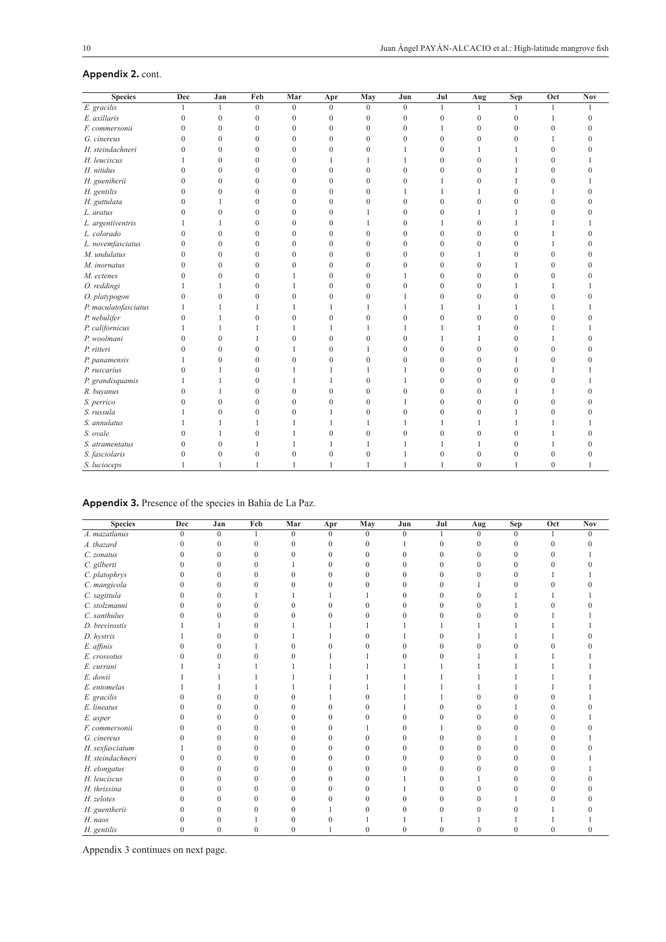### **Appendix 2.** cont.

| <b>Species</b>       | Dec          | Jan            | Feb              | Mar            | Apr            | May              | Jun          | Jul              | Aug          | Sep          | Oct          | <b>Nov</b>     |
|----------------------|--------------|----------------|------------------|----------------|----------------|------------------|--------------|------------------|--------------|--------------|--------------|----------------|
| E. gracilis          | $\mathbf{1}$ | $\mathbf{1}$   | $\overline{0}$   | $\overline{0}$ | $\theta$       | $\theta$         | $\mathbf{0}$ | $\mathbf{1}$     | 1            | $\mathbf{1}$ | $\mathbf{1}$ |                |
| E. axillaris         | $\mathbf{0}$ | $\mathbf{0}$   | $\mathbf{0}$     | 0              | $\mathbf{0}$   | $\boldsymbol{0}$ | $\mathbf{0}$ | $\mathbf{0}$     | $\mathbf{0}$ | $\mathbf{0}$ | $\mathbf{1}$ | 0              |
| F. commersonii       | $\mathbf{0}$ | $\theta$       | $\mathbf{0}$     | $\overline{0}$ | $\mathbf{0}$   | $\overline{0}$   | $\mathbf{0}$ | 1                | $\mathbf{0}$ | $\Omega$     | $\mathbf{0}$ | 0              |
| G. cinereus          | $\mathbf{0}$ | $\mathbf{0}$   | $\mathbf{0}$     | $\overline{0}$ | $\mathbf{0}$   | $\overline{0}$   | $\mathbf{0}$ | $\mathbf{0}$     | $\mathbf{0}$ | $\mathbf{0}$ |              |                |
| H. steindachneri     | $\mathbf{0}$ | $\theta$       | $\mathbf{0}$     | $\overline{0}$ | $\mathbf{0}$   | $\overline{0}$   |              | $\mathbf{0}$     | 1            | 1            | $\mathbf{0}$ |                |
| H. leuciscus         | 1            | $\theta$       | $\theta$         | $\overline{0}$ | 1              | 1                | 1            | $\mathbf{0}$     | $\theta$     | 1            | $\mathbf{0}$ |                |
| H. nitidus           | $\theta$     | $\theta$       | $\mathbf{0}$     | $\overline{0}$ | $\mathbf{0}$   | $\mathbf{0}$     | $\theta$     | $\mathbf{0}$     | $\mathbf{0}$ | 1            | $\mathbf{0}$ | 0              |
| H. guentherii        | $\mathbf{0}$ | $\theta$       | $\mathbf{0}$     | $\overline{0}$ | $\mathbf{0}$   | $\theta$         | $\theta$     | 1                | $\mathbf{0}$ | 1            | $\mathbf{0}$ |                |
| H. gentilis          | $\mathbf{0}$ | $\theta$       | $\mathbf{0}$     | $\overline{0}$ | $\mathbf{0}$   | $\Omega$         | 1            | 1                | 1            | $\Omega$     | $\mathbf{1}$ | 0              |
| H. guttulata         | $\theta$     | 1              | $\mathbf{0}$     | $\overline{0}$ | $\mathbf{0}$   | $\mathbf{0}$     | $\theta$     | $\mathbf{0}$     | $\mathbf{0}$ | $\Omega$     | $\mathbf{0}$ | 0              |
| L. aratus            | $\mathbf{0}$ | $\mathbf{0}$   | $\mathbf{0}$     | $\overline{0}$ | $\mathbf{0}$   | 1                | $\mathbf{0}$ | $\mathbf{0}$     | 1            | 1            | $\mathbf{0}$ | 0              |
| L. argentiventris    | 1            | 1              | $\boldsymbol{0}$ | $\overline{0}$ | $\mathbf{0}$   |                  | $\theta$     | 1                | $\mathbf{0}$ | 1            | $\mathbf{1}$ |                |
| L. colorado          | $\mathbf{0}$ | $\mathbf{0}$   | $\mathbf{0}$     | $\overline{0}$ | $\mathbf{0}$   | $\mathbf{0}$     | $\mathbf{0}$ | $\mathbf{0}$     | $\mathbf{0}$ | $\mathbf{0}$ |              | 0              |
| L. novemfasciatus    | $\mathbf{0}$ | $\overline{0}$ | $\mathbf{0}$     | $\overline{0}$ | $\mathbf{0}$   | $\theta$         | $\theta$     | $\overline{0}$   | $\mathbf{0}$ | $\mathbf{0}$ | 1            | $\overline{0}$ |
| M. undulatus         | $\mathbf{0}$ | $\mathbf{0}$   | $\mathbf{0}$     | $\overline{0}$ | $\mathbf{0}$   | $\mathbf{0}$     | $\mathbf{0}$ | $\mathbf{0}$     | 1            | $\mathbf{0}$ | $\mathbf{0}$ | 0              |
| M. inornatus         | $\mathbf{0}$ | $\theta$       | $\boldsymbol{0}$ | $\overline{0}$ | $\mathbf{0}$   | $\theta$         | $\mathbf{0}$ | $\boldsymbol{0}$ | $\mathbf{0}$ | 1            | $\mathbf{0}$ | 0              |
| M. ectenes           | $\theta$     | $\theta$       | $\mathbf{0}$     |                | $\mathbf{0}$   | $\Omega$         | -1           | $\mathbf{0}$     | $\theta$     | $\mathbf{0}$ | $\Omega$     | 0              |
| O. reddingi          |              | 1              | $\mathbf{0}$     |                | $\mathbf{0}$   | $\Omega$         | $\Omega$     | $\mathbf{0}$     | $\theta$     | 1            |              |                |
| O. platypogon        | $\theta$     | $\theta$       | $\theta$         | $\theta$       | $\mathbf{0}$   | $\Omega$         | 1            | $\mathbf{0}$     | $\theta$     | $\Omega$     | $\Omega$     |                |
| P. maculatofasciatus |              | 1              | 1                |                | 1              |                  | 1            | 1                |              | 1            |              |                |
| P. nebulifer         | $\mathbf{0}$ | 1              | $\mathbf{0}$     | $\theta$       | $\overline{0}$ | $\theta$         | $\theta$     | $\mathbf{0}$     | $\theta$     | $\Omega$     | $\Omega$     |                |
| P. californicus      | 1            | 1              | 1                | 1              | 1              | 1                | $\mathbf{1}$ | 1                | 1            | $\Omega$     |              |                |
| P. woolmani          | $\theta$     | $\theta$       | 1                | $\theta$       | $\overline{0}$ | $\theta$         | $\Omega$     | 1                | 1            | $\Omega$     |              |                |
| P. ritteri           | $\Omega$     | $\theta$       | $\mathbf{0}$     |                | $\mathbf{0}$   |                  | $\theta$     | $\mathbf{0}$     | $\theta$     | $\theta$     | $\Omega$     |                |
| P. panamensis        |              | $\mathbf{0}$   | $\mathbf{0}$     | $\overline{0}$ | $\overline{0}$ | $\mathbf{0}$     | $\theta$     | $\mathbf{0}$     | $\theta$     |              | $\Omega$     |                |
| P. ruscarius         | $\theta$     | 1              | $\theta$         | 1              | 1              |                  | $\mathbf{1}$ | $\mathbf{0}$     | $\theta$     | $\Omega$     |              |                |
| P. grandisquamis     |              | 1              | $\mathbf{0}$     | 1              | 1              | $\Omega$         | 1            | $\mathbf{0}$     | $\theta$     | $\Omega$     | $\mathbf{0}$ |                |
| R. bayanus           | $\mathbf{0}$ | 1              | $\mathbf{0}$     | $\theta$       | $\overline{0}$ | $\theta$         | $\theta$     | $\mathbf{0}$     | $\theta$     |              |              |                |
| S. perrico           | $\mathbf{0}$ | $\theta$       | $\mathbf{0}$     | $\theta$       | $\mathbf{0}$   | $\boldsymbol{0}$ |              | $\mathbf{0}$     | $\mathbf{0}$ | $\mathbf{0}$ | $\mathbf{0}$ |                |
| S. russula           |              | $\theta$       | $\mathbf{0}$     | $\theta$       | 1              | $\Omega$         | $\theta$     | $\mathbf{0}$     | $\mathbf{0}$ | 1            | $\Omega$     |                |
| S. annulatus         |              | 1              | 1                | 1              | 1              |                  |              | 1                | 1            | 1            |              |                |
| S. ovale             | $\theta$     | 1              | $\mathbf{0}$     | 1              | $\overline{0}$ | $\mathbf{0}$     | $\mathbf{0}$ | $\boldsymbol{0}$ | $\mathbf{0}$ | $\mathbf{0}$ |              | 0              |
| S. atramentatus      | $\mathbf{0}$ | $\theta$       | 1                | 1              | 1              | 1                | $\mathbf{1}$ | 1                | 1            | $\Omega$     | 1            | 0              |
| S. fasciolaris       | $\mathbf{0}$ | $\mathbf{0}$   | $\mathbf{0}$     | 0              | $\overline{0}$ | $\overline{0}$   | $\mathbf{1}$ | $\mathbf{0}$     | $\mathbf{0}$ | $\mathbf{0}$ | $\mathbf{0}$ | 0              |
| S. lucioceps         | $\mathbf{1}$ | 1              | 1                | $\mathbf{1}$   | $\mathbf{1}$   | $\mathbf{1}$     | $\mathbf{1}$ | 1                | $\theta$     | 1            | $\theta$     |                |

| Appendix 3. Presence of the species in Bahía de La Paz. |  |  |  |  |  |  |
|---------------------------------------------------------|--|--|--|--|--|--|
|---------------------------------------------------------|--|--|--|--|--|--|

| <b>Species</b>   | Dec          | Jan            | Feb              | Mar          | Apr      | May              | Jun          | Jul          | Aug      | <b>Sep</b>   | Oct          | <b>Nov</b> |
|------------------|--------------|----------------|------------------|--------------|----------|------------------|--------------|--------------|----------|--------------|--------------|------------|
| A. mazatlanus    | $\mathbf{0}$ | $\mathbf{0}$   | $\mathbf{1}$     | $\Omega$     | $\theta$ | $\Omega$         | $\Omega$     |              | $\theta$ | $\Omega$     |              | $\Omega$   |
| A. thazard       | $\Omega$     | $\theta$       | $\theta$         | $\theta$     | $\theta$ | 0                |              | $\theta$     | $\Omega$ | O            | $\Omega$     |            |
| C. zonatus       | 0            | $\Omega$       | $\Omega$         | $\Omega$     | $\theta$ | U                |              | $\Omega$     |          | U            | 0            |            |
| C. gilberti      | 0            | $\theta$       | 0                |              | $\theta$ | 0                |              | $\theta$     |          |              |              |            |
| C. platophrys    | 0            | $\theta$       | $\mathbf{0}$     | $\Omega$     | $\theta$ |                  |              | $\mathbf{0}$ |          |              |              |            |
| C. mangicola     | $\cup$       | $\Omega$       | $\Omega$         |              | $\Omega$ |                  |              | $\Omega$     |          |              |              |            |
| C. sagittula     | 0            | $\Omega$       |                  |              |          |                  |              | $\theta$     |          |              |              |            |
| C. stolzmanni    | 0            | $\theta$       | $\theta$         |              | $\theta$ |                  |              | $\theta$     |          |              |              |            |
| C. xanthulus     | 0            | $\theta$       | $\Omega$         |              | $\theta$ |                  |              | $\Omega$     |          |              |              |            |
| D. brevirostis   |              |                | $\theta$         |              |          |                  |              |              |          |              |              |            |
| D. hystrix       |              | $\Omega$       | $\Omega$         |              |          |                  |              | $\theta$     |          |              |              |            |
| E. affinis       |              | $\Omega$       |                  |              | 0        |                  |              | $\Omega$     |          |              |              |            |
| E. crossotus     |              | $\theta$       |                  |              |          |                  |              | $\theta$     |          |              |              |            |
| E. currani       |              |                |                  |              |          |                  |              |              |          |              |              |            |
| E. dowii         |              |                |                  |              |          |                  |              |              |          |              |              |            |
| E. entomelas     |              |                |                  |              |          |                  |              |              |          |              |              |            |
| E. gracilis      |              | 0              | 0                |              |          |                  |              |              |          |              |              |            |
| E. lineatus      |              | $\Omega$       | 0                | 0            | $\theta$ |                  |              | $\Omega$     |          |              |              |            |
| E. asper         |              | $\theta$       | $\Omega$         | $\Omega$     | $\theta$ |                  |              | $\Omega$     |          |              |              |            |
| F. commersonii   | $\cup$       | $\theta$       | $\Omega$         | $\theta$     | $\theta$ |                  |              |              |          |              | 0            |            |
| G. cinereus      | 0            | $\theta$       | $\theta$         | $\Omega$     | $\theta$ |                  |              | $\theta$     |          |              | U            |            |
| H. sexfasciatum  |              | $\theta$       | $\Omega$         | 0            | $\theta$ |                  |              | $\Omega$     |          |              | 0            |            |
| H. steindachneri | $\theta$     | 0              | 0                | 0            | 0        |                  |              | $\Omega$     |          |              |              |            |
| H. elongatus     |              | $\theta$       | $\Omega$         | $\Omega$     | $\theta$ |                  |              | $\theta$     |          |              |              |            |
| H. leuciscus     | 0            | $\theta$       | $\Omega$         | 0            | $\theta$ | U                |              | $\theta$     |          |              | 0            |            |
| H. thrissina     | 0            | $\Omega$       | $\Omega$         | 0            | $\theta$ | $\left( \right)$ |              | $\theta$     |          |              | 0            |            |
| H. zelotes       |              | $\theta$       | $\theta$         | 0            | $\theta$ |                  |              | $\theta$     |          |              |              |            |
| H. guentherii    |              | 0              | 0                | $\Omega$     |          | U                |              | $\Omega$     |          |              |              |            |
| H. naos          |              | 0              |                  |              | 0        |                  |              |              |          |              |              |            |
| H. gentilis      | $\mathbf{0}$ | $\overline{0}$ | $\boldsymbol{0}$ | $\mathbf{0}$ |          | 0                | $\mathbf{0}$ | $\mathbf{0}$ |          | $\mathbf{0}$ | $\mathbf{0}$ | $\theta$   |

Appendix 3 continues on next page.